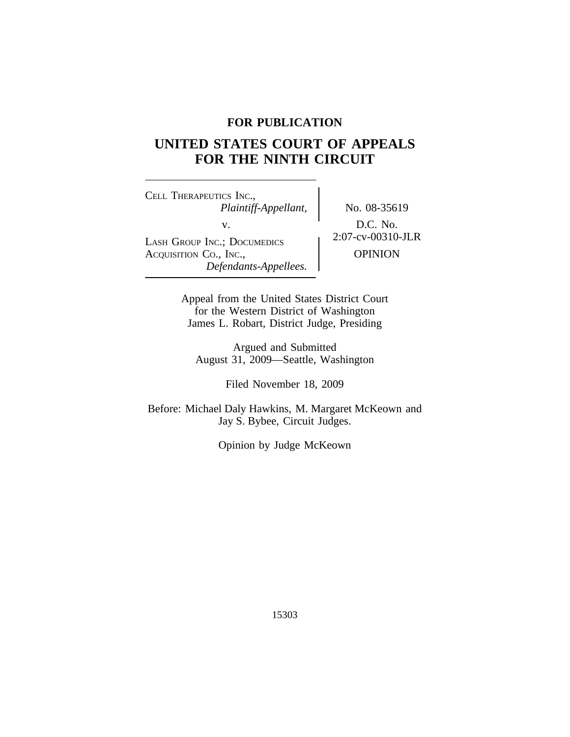# **FOR PUBLICATION**

# **UNITED STATES COURT OF APPEALS FOR THE NINTH CIRCUIT**

<sup>C</sup>ELL THERAPEUTICS INC., *Plaintiff-Appellant,* No. 08-35619 v.<br>
LASH GROUP INC.; DOCUMEDICS 2:07-cv-00310-JLR ACQUISITION Co., INC.,  $\qquad \qquad$  OPINION *Defendants-Appellees.*

Appeal from the United States District Court for the Western District of Washington James L. Robart, District Judge, Presiding

Argued and Submitted August 31, 2009—Seattle, Washington

Filed November 18, 2009

Before: Michael Daly Hawkins, M. Margaret McKeown and Jay S. Bybee, Circuit Judges.

Opinion by Judge McKeown

15303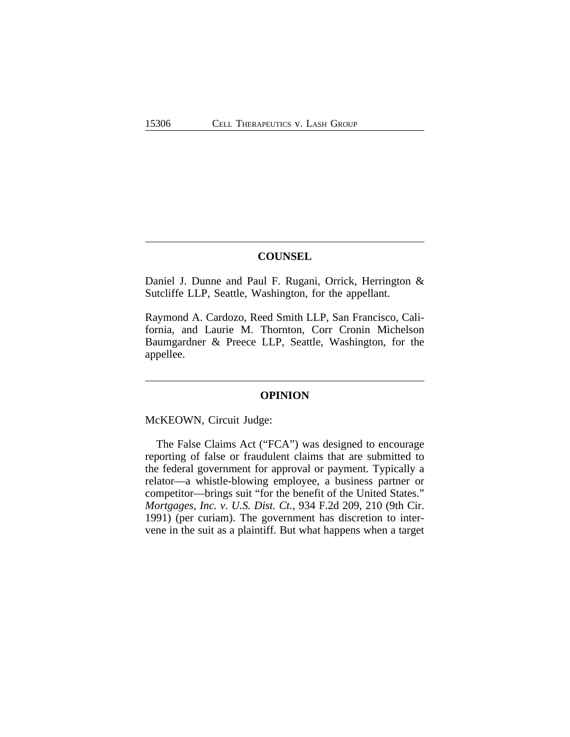### **COUNSEL**

Daniel J. Dunne and Paul F. Rugani, Orrick, Herrington & Sutcliffe LLP, Seattle, Washington, for the appellant.

Raymond A. Cardozo, Reed Smith LLP, San Francisco, California, and Laurie M. Thornton, Corr Cronin Michelson Baumgardner & Preece LLP, Seattle, Washington, for the appellee.

#### **OPINION**

McKEOWN, Circuit Judge:

The False Claims Act ("FCA") was designed to encourage reporting of false or fraudulent claims that are submitted to the federal government for approval or payment. Typically a relator—a whistle-blowing employee, a business partner or competitor—brings suit "for the benefit of the United States." *Mortgages, Inc. v. U.S. Dist. Ct.*, 934 F.2d 209, 210 (9th Cir. 1991) (per curiam). The government has discretion to intervene in the suit as a plaintiff. But what happens when a target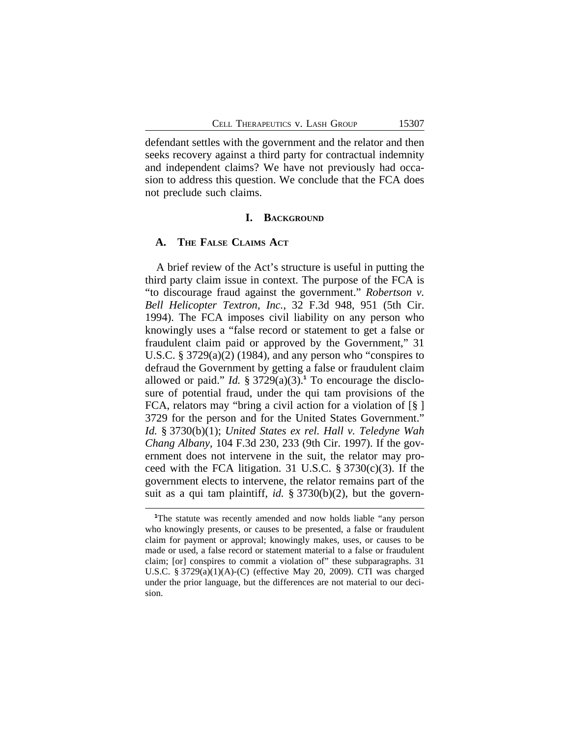defendant settles with the government and the relator and then seeks recovery against a third party for contractual indemnity and independent claims? We have not previously had occasion to address this question. We conclude that the FCA does not preclude such claims.

#### **I. BACKGROUND**

#### **A. THE FALSE CLAIMS ACT**

A brief review of the Act's structure is useful in putting the third party claim issue in context. The purpose of the FCA is "to discourage fraud against the government." *Robertson v. Bell Helicopter Textron, Inc.*, 32 F.3d 948, 951 (5th Cir. 1994). The FCA imposes civil liability on any person who knowingly uses a "false record or statement to get a false or fraudulent claim paid or approved by the Government," 31 U.S.C. § 3729(a)(2) (1984), and any person who "conspires to defraud the Government by getting a false or fraudulent claim allowed or paid." *Id.*  $\S 3729(a)(3)$ .<sup>1</sup> To encourage the disclosure of potential fraud, under the qui tam provisions of the FCA, relators may "bring a civil action for a violation of [§ ] 3729 for the person and for the United States Government." *Id.* § 3730(b)(1); *United States ex rel. Hall v. Teledyne Wah Chang Albany*, 104 F.3d 230, 233 (9th Cir. 1997). If the government does not intervene in the suit, the relator may proceed with the FCA litigation. 31 U.S.C. § 3730(c)(3). If the government elects to intervene, the relator remains part of the suit as a qui tam plaintiff, *id.* § 3730(b)(2), but the govern-

**<sup>1</sup>**The statute was recently amended and now holds liable "any person who knowingly presents, or causes to be presented, a false or fraudulent claim for payment or approval; knowingly makes, uses, or causes to be made or used, a false record or statement material to a false or fraudulent claim; [or] conspires to commit a violation of" these subparagraphs. 31 U.S.C. § 3729(a)(1)(A)-(C) (effective May 20, 2009). CTI was charged under the prior language, but the differences are not material to our decision.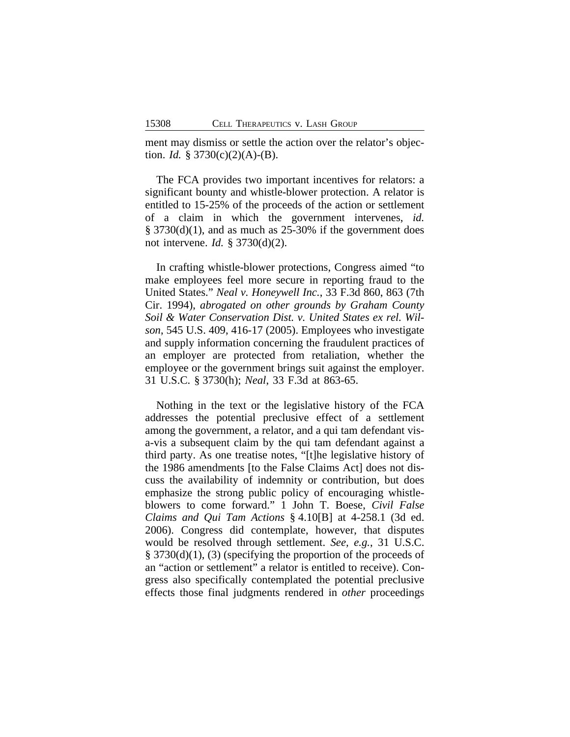ment may dismiss or settle the action over the relator's objection. *Id.* §  $3730(c)(2)(A) - (B)$ .

The FCA provides two important incentives for relators: a significant bounty and whistle-blower protection. A relator is entitled to 15-25% of the proceeds of the action or settlement of a claim in which the government intervenes, *id.* § 3730(d)(1), and as much as 25-30% if the government does not intervene. *Id.* § 3730(d)(2).

In crafting whistle-blower protections, Congress aimed "to make employees feel more secure in reporting fraud to the United States." *Neal v. Honeywell Inc.*, 33 F.3d 860, 863 (7th Cir. 1994), *abrogated on other grounds by Graham County Soil & Water Conservation Dist. v. United States ex rel. Wilson*, 545 U.S. 409, 416-17 (2005). Employees who investigate and supply information concerning the fraudulent practices of an employer are protected from retaliation, whether the employee or the government brings suit against the employer. 31 U.S.C. § 3730(h); *Neal*, 33 F.3d at 863-65.

Nothing in the text or the legislative history of the FCA addresses the potential preclusive effect of a settlement among the government, a relator, and a qui tam defendant visa-vis a subsequent claim by the qui tam defendant against a third party. As one treatise notes, "[t]he legislative history of the 1986 amendments [to the False Claims Act] does not discuss the availability of indemnity or contribution, but does emphasize the strong public policy of encouraging whistleblowers to come forward." 1 John T. Boese, *Civil False Claims and Qui Tam Actions* § 4.10[B] at 4-258.1 (3d ed. 2006). Congress did contemplate, however, that disputes would be resolved through settlement. *See, e.g.*, 31 U.S.C. § 3730(d)(1), (3) (specifying the proportion of the proceeds of an "action or settlement" a relator is entitled to receive). Congress also specifically contemplated the potential preclusive effects those final judgments rendered in *other* proceedings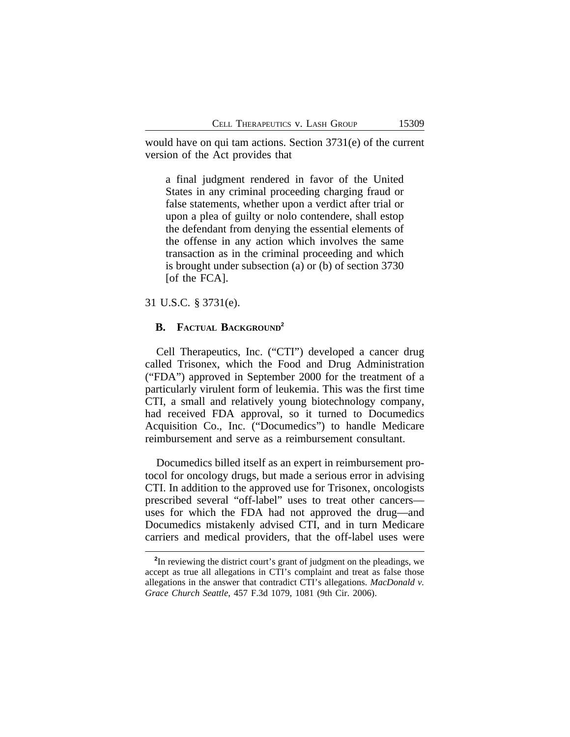would have on qui tam actions. Section 3731(e) of the current version of the Act provides that

a final judgment rendered in favor of the United States in any criminal proceeding charging fraud or false statements, whether upon a verdict after trial or upon a plea of guilty or nolo contendere, shall estop the defendant from denying the essential elements of the offense in any action which involves the same transaction as in the criminal proceeding and which is brought under subsection (a) or (b) of section 3730 [of the FCA].

31 U.S.C. § 3731(e).

# **B. FACTUAL BACKGROUND<sup>2</sup>**

Cell Therapeutics, Inc. ("CTI") developed a cancer drug called Trisonex, which the Food and Drug Administration ("FDA") approved in September 2000 for the treatment of a particularly virulent form of leukemia. This was the first time CTI, a small and relatively young biotechnology company, had received FDA approval, so it turned to Documedics Acquisition Co., Inc. ("Documedics") to handle Medicare reimbursement and serve as a reimbursement consultant.

Documedics billed itself as an expert in reimbursement protocol for oncology drugs, but made a serious error in advising CTI. In addition to the approved use for Trisonex, oncologists prescribed several "off-label" uses to treat other cancers uses for which the FDA had not approved the drug—and Documedics mistakenly advised CTI, and in turn Medicare carriers and medical providers, that the off-label uses were

**<sup>2</sup>** In reviewing the district court's grant of judgment on the pleadings, we accept as true all allegations in CTI's complaint and treat as false those allegations in the answer that contradict CTI's allegations. *MacDonald v. Grace Church Seattle*, 457 F.3d 1079, 1081 (9th Cir. 2006).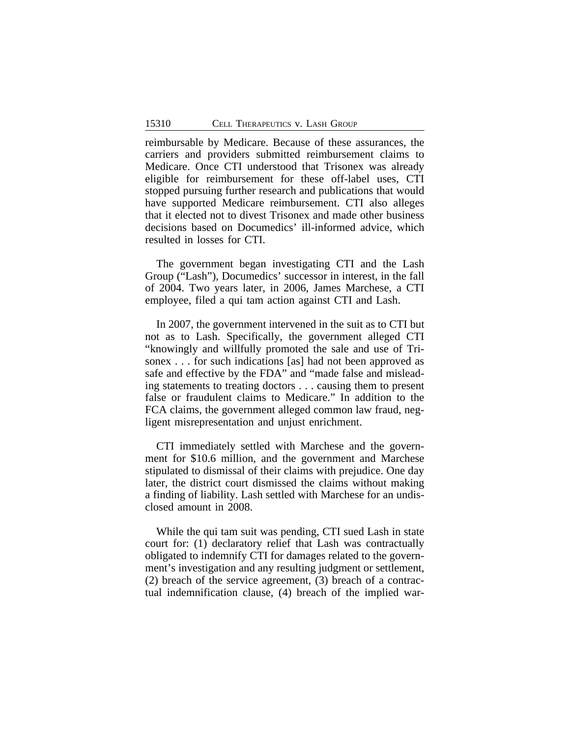reimbursable by Medicare. Because of these assurances, the carriers and providers submitted reimbursement claims to Medicare. Once CTI understood that Trisonex was already eligible for reimbursement for these off-label uses, CTI stopped pursuing further research and publications that would have supported Medicare reimbursement. CTI also alleges that it elected not to divest Trisonex and made other business decisions based on Documedics' ill-informed advice, which resulted in losses for CTI.

The government began investigating CTI and the Lash Group ("Lash"), Documedics' successor in interest, in the fall of 2004. Two years later, in 2006, James Marchese, a CTI employee, filed a qui tam action against CTI and Lash.

In 2007, the government intervened in the suit as to CTI but not as to Lash. Specifically, the government alleged CTI "knowingly and willfully promoted the sale and use of Trisonex . . . for such indications [as] had not been approved as safe and effective by the FDA" and "made false and misleading statements to treating doctors . . . causing them to present false or fraudulent claims to Medicare." In addition to the FCA claims, the government alleged common law fraud, negligent misrepresentation and unjust enrichment.

CTI immediately settled with Marchese and the government for \$10.6 million, and the government and Marchese stipulated to dismissal of their claims with prejudice. One day later, the district court dismissed the claims without making a finding of liability. Lash settled with Marchese for an undisclosed amount in 2008.

While the qui tam suit was pending, CTI sued Lash in state court for: (1) declaratory relief that Lash was contractually obligated to indemnify CTI for damages related to the government's investigation and any resulting judgment or settlement, (2) breach of the service agreement, (3) breach of a contractual indemnification clause, (4) breach of the implied war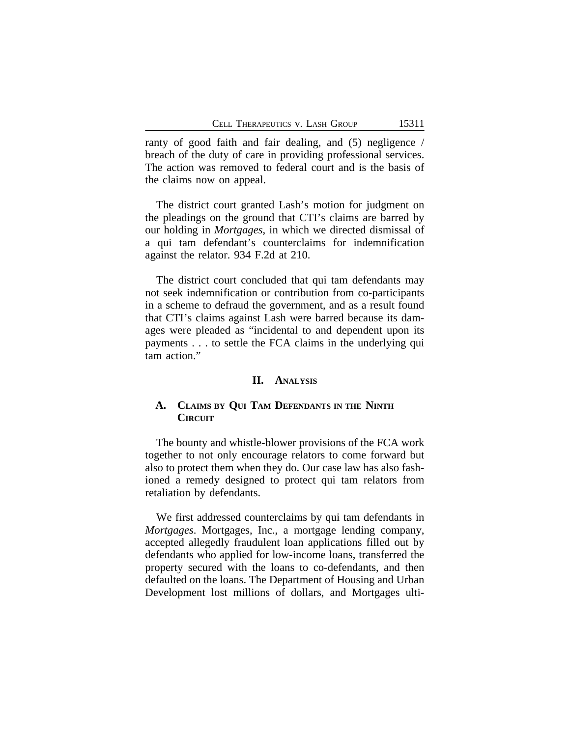ranty of good faith and fair dealing, and (5) negligence / breach of the duty of care in providing professional services. The action was removed to federal court and is the basis of the claims now on appeal.

The district court granted Lash's motion for judgment on the pleadings on the ground that CTI's claims are barred by our holding in *Mortgages*, in which we directed dismissal of a qui tam defendant's counterclaims for indemnification against the relator. 934 F.2d at 210.

The district court concluded that qui tam defendants may not seek indemnification or contribution from co-participants in a scheme to defraud the government, and as a result found that CTI's claims against Lash were barred because its damages were pleaded as "incidental to and dependent upon its payments . . . to settle the FCA claims in the underlying qui tam action."

### **II. ANALYSIS**

## **A. CLAIMS BY QUI TAM DEFENDANTS IN THE NINTH CIRCUIT**

The bounty and whistle-blower provisions of the FCA work together to not only encourage relators to come forward but also to protect them when they do. Our case law has also fashioned a remedy designed to protect qui tam relators from retaliation by defendants.

We first addressed counterclaims by qui tam defendants in *Mortgages*. Mortgages, Inc., a mortgage lending company, accepted allegedly fraudulent loan applications filled out by defendants who applied for low-income loans, transferred the property secured with the loans to co-defendants, and then defaulted on the loans. The Department of Housing and Urban Development lost millions of dollars, and Mortgages ulti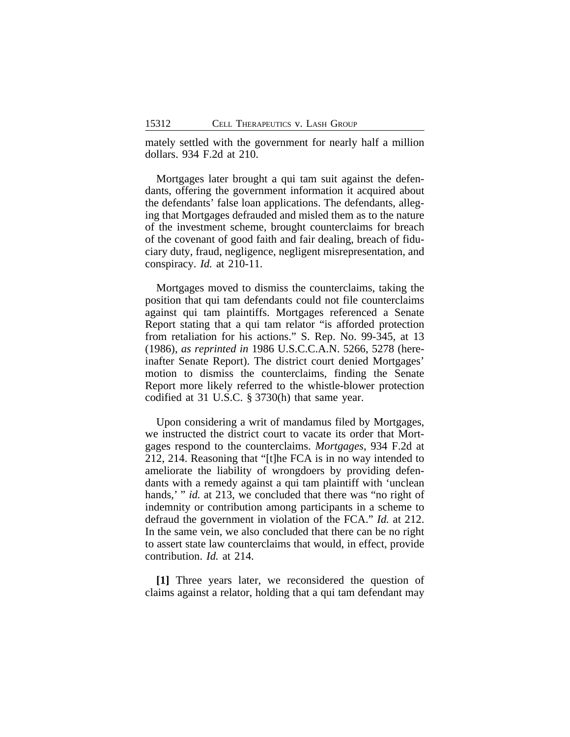mately settled with the government for nearly half a million dollars. 934 F.2d at 210.

Mortgages later brought a qui tam suit against the defendants, offering the government information it acquired about the defendants' false loan applications. The defendants, alleging that Mortgages defrauded and misled them as to the nature of the investment scheme, brought counterclaims for breach of the covenant of good faith and fair dealing, breach of fiduciary duty, fraud, negligence, negligent misrepresentation, and conspiracy. *Id.* at 210-11.

Mortgages moved to dismiss the counterclaims, taking the position that qui tam defendants could not file counterclaims against qui tam plaintiffs. Mortgages referenced a Senate Report stating that a qui tam relator "is afforded protection from retaliation for his actions." S. Rep. No. 99-345, at 13 (1986), *as reprinted in* 1986 U.S.C.C.A.N. 5266, 5278 (hereinafter Senate Report). The district court denied Mortgages' motion to dismiss the counterclaims, finding the Senate Report more likely referred to the whistle-blower protection codified at 31 U.S.C. § 3730(h) that same year.

Upon considering a writ of mandamus filed by Mortgages, we instructed the district court to vacate its order that Mortgages respond to the counterclaims. *Mortgages*, 934 F.2d at 212, 214. Reasoning that "[t]he FCA is in no way intended to ameliorate the liability of wrongdoers by providing defendants with a remedy against a qui tam plaintiff with 'unclean hands,' " *id.* at 213, we concluded that there was "no right of indemnity or contribution among participants in a scheme to defraud the government in violation of the FCA." *Id.* at 212. In the same vein, we also concluded that there can be no right to assert state law counterclaims that would, in effect, provide contribution. *Id.* at 214.

**[1]** Three years later, we reconsidered the question of claims against a relator, holding that a qui tam defendant may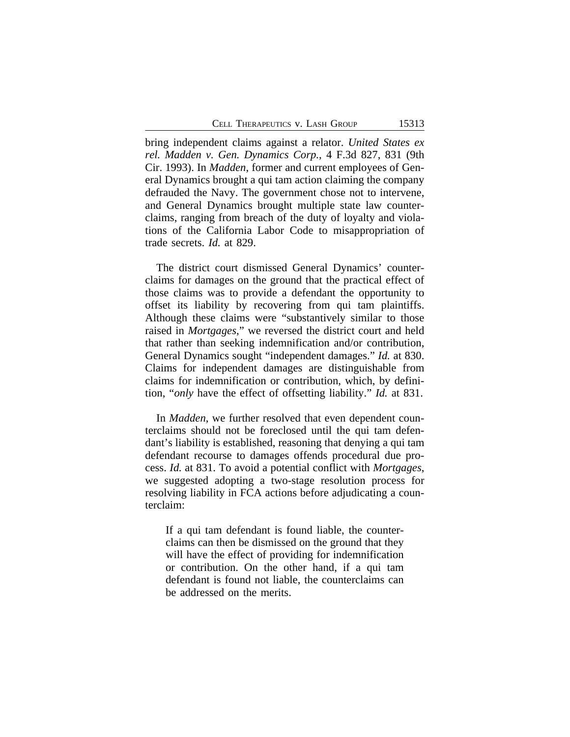bring independent claims against a relator. *United States ex rel. Madden v. Gen. Dynamics Corp.*, 4 F.3d 827, 831 (9th Cir. 1993). In *Madden*, former and current employees of General Dynamics brought a qui tam action claiming the company defrauded the Navy. The government chose not to intervene, and General Dynamics brought multiple state law counterclaims, ranging from breach of the duty of loyalty and violations of the California Labor Code to misappropriation of trade secrets. *Id.* at 829.

The district court dismissed General Dynamics' counterclaims for damages on the ground that the practical effect of those claims was to provide a defendant the opportunity to offset its liability by recovering from qui tam plaintiffs. Although these claims were "substantively similar to those raised in *Mortgages*," we reversed the district court and held that rather than seeking indemnification and/or contribution, General Dynamics sought "independent damages." *Id.* at 830. Claims for independent damages are distinguishable from claims for indemnification or contribution, which, by definition, "*only* have the effect of offsetting liability." *Id.* at 831.

In *Madden*, we further resolved that even dependent counterclaims should not be foreclosed until the qui tam defendant's liability is established, reasoning that denying a qui tam defendant recourse to damages offends procedural due process. *Id.* at 831. To avoid a potential conflict with *Mortgages*, we suggested adopting a two-stage resolution process for resolving liability in FCA actions before adjudicating a counterclaim:

If a qui tam defendant is found liable, the counterclaims can then be dismissed on the ground that they will have the effect of providing for indemnification or contribution. On the other hand, if a qui tam defendant is found not liable, the counterclaims can be addressed on the merits.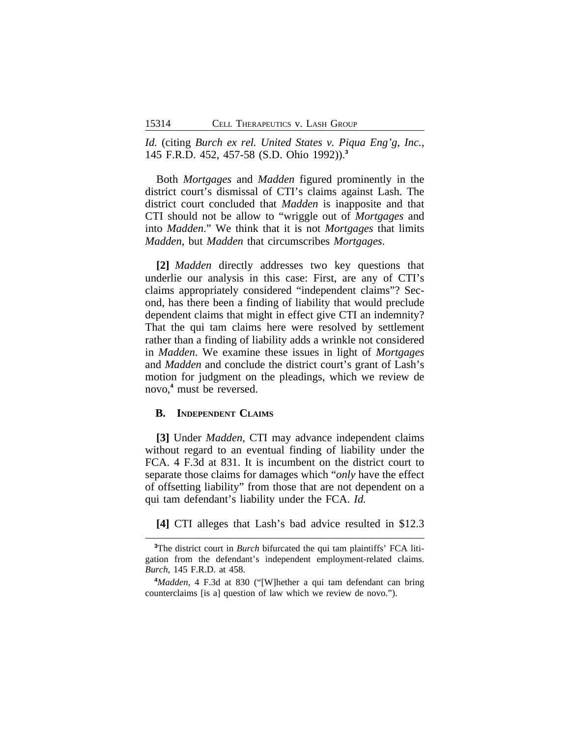*Id.* (citing *Burch ex rel. United States v. Piqua Eng'g, Inc.*, 145 F.R.D. 452, 457-58 (S.D. Ohio 1992)).**<sup>3</sup>**

Both *Mortgages* and *Madden* figured prominently in the district court's dismissal of CTI's claims against Lash. The district court concluded that *Madden* is inapposite and that CTI should not be allow to "wriggle out of *Mortgages* and into *Madden*." We think that it is not *Mortgages* that limits *Madden*, but *Madden* that circumscribes *Mortgages*.

**[2]** *Madden* directly addresses two key questions that underlie our analysis in this case: First, are any of CTI's claims appropriately considered "independent claims"? Second, has there been a finding of liability that would preclude dependent claims that might in effect give CTI an indemnity? That the qui tam claims here were resolved by settlement rather than a finding of liability adds a wrinkle not considered in *Madden*. We examine these issues in light of *Mortgages* and *Madden* and conclude the district court's grant of Lash's motion for judgment on the pleadings, which we review de novo,**<sup>4</sup>** must be reversed.

### **B. INDEPENDENT CLAIMS**

**[3]** Under *Madden*, CTI may advance independent claims without regard to an eventual finding of liability under the FCA. 4 F.3d at 831. It is incumbent on the district court to separate those claims for damages which "*only* have the effect of offsetting liability" from those that are not dependent on a qui tam defendant's liability under the FCA. *Id.*

**[4]** CTI alleges that Lash's bad advice resulted in \$12.3

**<sup>3</sup>**The district court in *Burch* bifurcated the qui tam plaintiffs' FCA litigation from the defendant's independent employment-related claims. *Burch*, 145 F.R.D. at 458.

**<sup>4</sup>***Madden*, 4 F.3d at 830 ("[W]hether a qui tam defendant can bring counterclaims [is a] question of law which we review de novo.").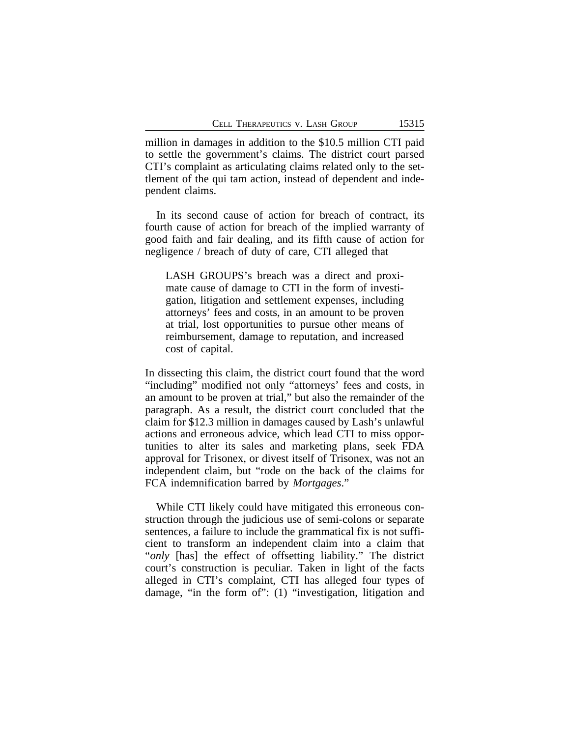million in damages in addition to the \$10.5 million CTI paid to settle the government's claims. The district court parsed CTI's complaint as articulating claims related only to the settlement of the qui tam action, instead of dependent and independent claims.

In its second cause of action for breach of contract, its fourth cause of action for breach of the implied warranty of good faith and fair dealing, and its fifth cause of action for negligence / breach of duty of care, CTI alleged that

LASH GROUPS's breach was a direct and proximate cause of damage to CTI in the form of investigation, litigation and settlement expenses, including attorneys' fees and costs, in an amount to be proven at trial, lost opportunities to pursue other means of reimbursement, damage to reputation, and increased cost of capital.

In dissecting this claim, the district court found that the word "including" modified not only "attorneys' fees and costs, in an amount to be proven at trial," but also the remainder of the paragraph. As a result, the district court concluded that the claim for \$12.3 million in damages caused by Lash's unlawful actions and erroneous advice, which lead CTI to miss opportunities to alter its sales and marketing plans, seek FDA approval for Trisonex, or divest itself of Trisonex, was not an independent claim, but "rode on the back of the claims for FCA indemnification barred by *Mortgages*."

While CTI likely could have mitigated this erroneous construction through the judicious use of semi-colons or separate sentences, a failure to include the grammatical fix is not sufficient to transform an independent claim into a claim that "*only* [has] the effect of offsetting liability." The district court's construction is peculiar. Taken in light of the facts alleged in CTI's complaint, CTI has alleged four types of damage, "in the form of": (1) "investigation, litigation and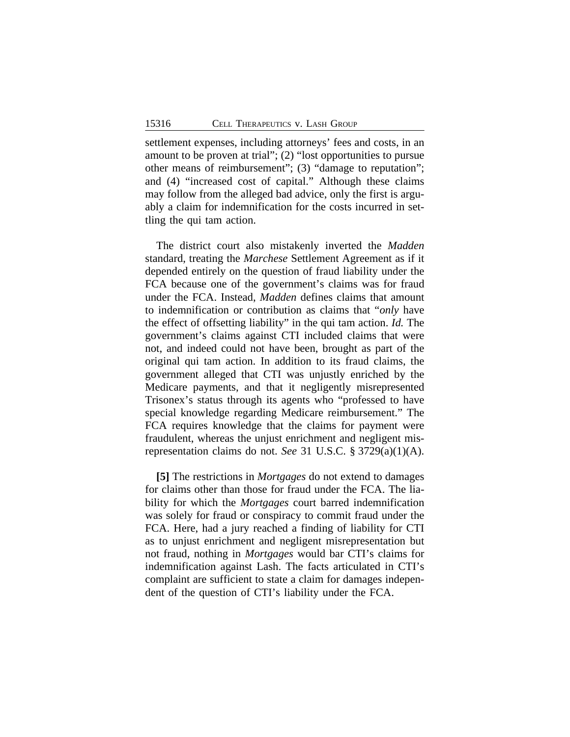settlement expenses, including attorneys' fees and costs, in an amount to be proven at trial"; (2) "lost opportunities to pursue other means of reimbursement"; (3) "damage to reputation"; and (4) "increased cost of capital." Although these claims may follow from the alleged bad advice, only the first is arguably a claim for indemnification for the costs incurred in settling the qui tam action.

The district court also mistakenly inverted the *Madden* standard, treating the *Marchese* Settlement Agreement as if it depended entirely on the question of fraud liability under the FCA because one of the government's claims was for fraud under the FCA. Instead, *Madden* defines claims that amount to indemnification or contribution as claims that "*only* have the effect of offsetting liability" in the qui tam action. *Id.* The government's claims against CTI included claims that were not, and indeed could not have been, brought as part of the original qui tam action. In addition to its fraud claims, the government alleged that CTI was unjustly enriched by the Medicare payments, and that it negligently misrepresented Trisonex's status through its agents who "professed to have special knowledge regarding Medicare reimbursement." The FCA requires knowledge that the claims for payment were fraudulent, whereas the unjust enrichment and negligent misrepresentation claims do not. *See* 31 U.S.C. § 3729(a)(1)(A).

**[5]** The restrictions in *Mortgages* do not extend to damages for claims other than those for fraud under the FCA. The liability for which the *Mortgages* court barred indemnification was solely for fraud or conspiracy to commit fraud under the FCA. Here, had a jury reached a finding of liability for CTI as to unjust enrichment and negligent misrepresentation but not fraud, nothing in *Mortgages* would bar CTI's claims for indemnification against Lash. The facts articulated in CTI's complaint are sufficient to state a claim for damages independent of the question of CTI's liability under the FCA.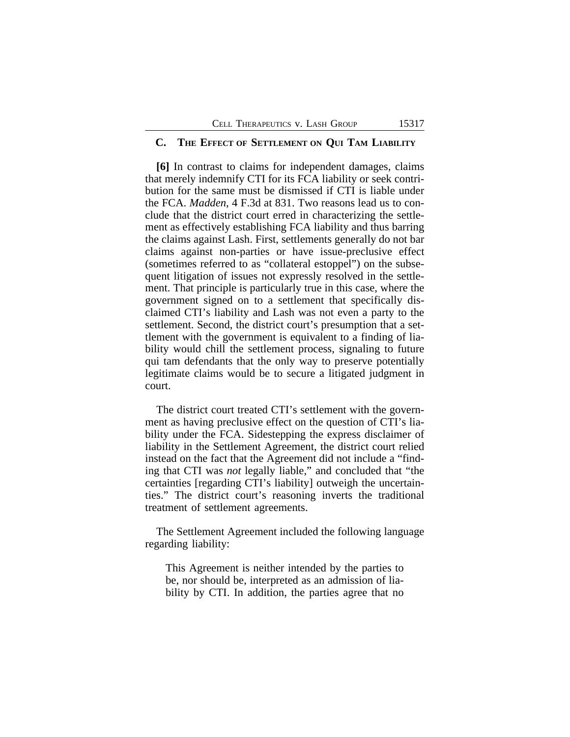### **C. THE EFFECT OF SETTLEMENT ON QUI TAM LIABILITY**

**[6]** In contrast to claims for independent damages, claims that merely indemnify CTI for its FCA liability or seek contribution for the same must be dismissed if CTI is liable under the FCA. *Madden*, 4 F.3d at 831. Two reasons lead us to conclude that the district court erred in characterizing the settlement as effectively establishing FCA liability and thus barring the claims against Lash. First, settlements generally do not bar claims against non-parties or have issue-preclusive effect (sometimes referred to as "collateral estoppel") on the subsequent litigation of issues not expressly resolved in the settlement. That principle is particularly true in this case, where the government signed on to a settlement that specifically disclaimed CTI's liability and Lash was not even a party to the settlement. Second, the district court's presumption that a settlement with the government is equivalent to a finding of liability would chill the settlement process, signaling to future qui tam defendants that the only way to preserve potentially legitimate claims would be to secure a litigated judgment in court.

The district court treated CTI's settlement with the government as having preclusive effect on the question of CTI's liability under the FCA. Sidestepping the express disclaimer of liability in the Settlement Agreement, the district court relied instead on the fact that the Agreement did not include a "finding that CTI was *not* legally liable," and concluded that "the certainties [regarding CTI's liability] outweigh the uncertainties." The district court's reasoning inverts the traditional treatment of settlement agreements.

The Settlement Agreement included the following language regarding liability:

This Agreement is neither intended by the parties to be, nor should be, interpreted as an admission of liability by CTI. In addition, the parties agree that no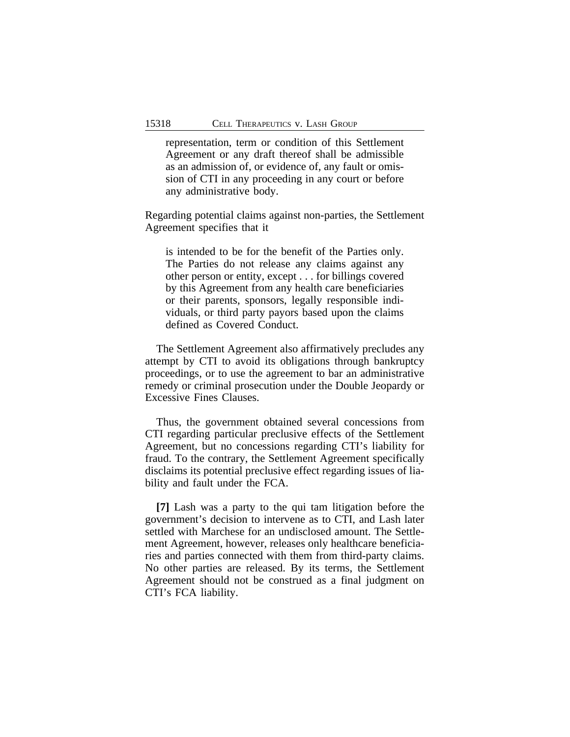representation, term or condition of this Settlement Agreement or any draft thereof shall be admissible as an admission of, or evidence of, any fault or omission of CTI in any proceeding in any court or before any administrative body.

Regarding potential claims against non-parties, the Settlement Agreement specifies that it

is intended to be for the benefit of the Parties only. The Parties do not release any claims against any other person or entity, except . . . for billings covered by this Agreement from any health care beneficiaries or their parents, sponsors, legally responsible individuals, or third party payors based upon the claims defined as Covered Conduct.

The Settlement Agreement also affirmatively precludes any attempt by CTI to avoid its obligations through bankruptcy proceedings, or to use the agreement to bar an administrative remedy or criminal prosecution under the Double Jeopardy or Excessive Fines Clauses.

Thus, the government obtained several concessions from CTI regarding particular preclusive effects of the Settlement Agreement, but no concessions regarding CTI's liability for fraud. To the contrary, the Settlement Agreement specifically disclaims its potential preclusive effect regarding issues of liability and fault under the FCA.

**[7]** Lash was a party to the qui tam litigation before the government's decision to intervene as to CTI, and Lash later settled with Marchese for an undisclosed amount. The Settlement Agreement, however, releases only healthcare beneficiaries and parties connected with them from third-party claims. No other parties are released. By its terms, the Settlement Agreement should not be construed as a final judgment on CTI's FCA liability.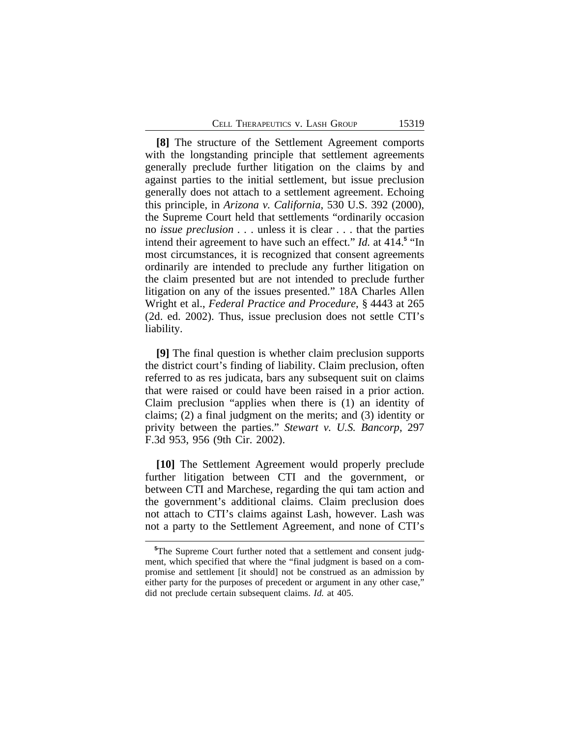**[8]** The structure of the Settlement Agreement comports with the longstanding principle that settlement agreements generally preclude further litigation on the claims by and against parties to the initial settlement, but issue preclusion generally does not attach to a settlement agreement. Echoing this principle, in *Arizona v. California*, 530 U.S. 392 (2000), the Supreme Court held that settlements "ordinarily occasion no *issue preclusion . .* . unless it is clear . . . that the parties intend their agreement to have such an effect." *Id.* at 414.**<sup>5</sup>** "In most circumstances, it is recognized that consent agreements ordinarily are intended to preclude any further litigation on the claim presented but are not intended to preclude further litigation on any of the issues presented." 18A Charles Allen Wright et al., *Federal Practice and Procedure*, § 4443 at 265 (2d. ed. 2002). Thus, issue preclusion does not settle CTI's liability.

**[9]** The final question is whether claim preclusion supports the district court's finding of liability. Claim preclusion, often referred to as res judicata, bars any subsequent suit on claims that were raised or could have been raised in a prior action. Claim preclusion "applies when there is (1) an identity of claims; (2) a final judgment on the merits; and (3) identity or privity between the parties." *Stewart v. U.S. Bancorp*, 297 F.3d 953, 956 (9th Cir. 2002).

**[10]** The Settlement Agreement would properly preclude further litigation between CTI and the government, or between CTI and Marchese, regarding the qui tam action and the government's additional claims. Claim preclusion does not attach to CTI's claims against Lash, however. Lash was not a party to the Settlement Agreement, and none of CTI's

**<sup>5</sup>**The Supreme Court further noted that a settlement and consent judgment, which specified that where the "final judgment is based on a compromise and settlement [it should] not be construed as an admission by either party for the purposes of precedent or argument in any other case," did not preclude certain subsequent claims. *Id.* at 405.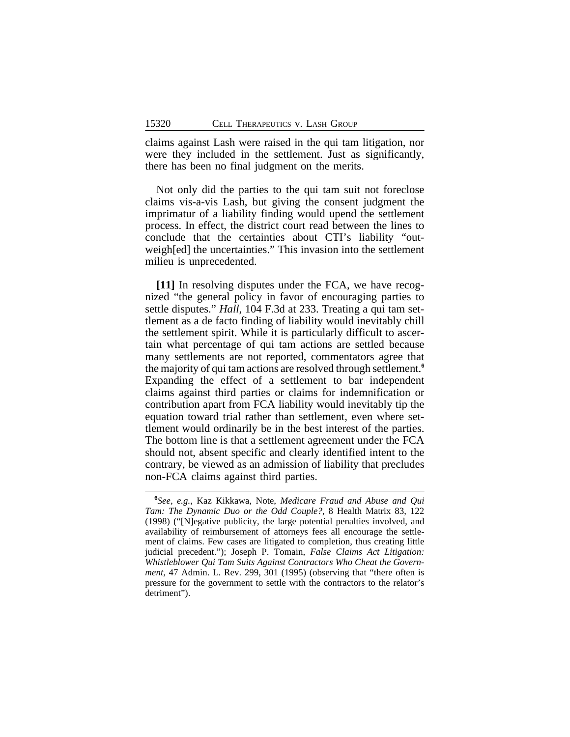claims against Lash were raised in the qui tam litigation, nor were they included in the settlement. Just as significantly, there has been no final judgment on the merits.

Not only did the parties to the qui tam suit not foreclose claims vis-a-vis Lash, but giving the consent judgment the imprimatur of a liability finding would upend the settlement process. In effect, the district court read between the lines to conclude that the certainties about CTI's liability "outweigh[ed] the uncertainties." This invasion into the settlement milieu is unprecedented.

**[11]** In resolving disputes under the FCA, we have recognized "the general policy in favor of encouraging parties to settle disputes." *Hall*, 104 F.3d at 233. Treating a qui tam settlement as a de facto finding of liability would inevitably chill the settlement spirit. While it is particularly difficult to ascertain what percentage of qui tam actions are settled because many settlements are not reported, commentators agree that the majority of qui tam actions are resolved through settlement.**<sup>6</sup>** Expanding the effect of a settlement to bar independent claims against third parties or claims for indemnification or contribution apart from FCA liability would inevitably tip the equation toward trial rather than settlement, even where settlement would ordinarily be in the best interest of the parties. The bottom line is that a settlement agreement under the FCA should not, absent specific and clearly identified intent to the contrary, be viewed as an admission of liability that precludes non-FCA claims against third parties.

**<sup>6</sup>** *See, e.g.*, Kaz Kikkawa, Note, *Medicare Fraud and Abuse and Qui Tam: The Dynamic Duo or the Odd Couple?*, 8 Health Matrix 83, 122 (1998) ("[N]egative publicity, the large potential penalties involved, and availability of reimbursement of attorneys fees all encourage the settlement of claims. Few cases are litigated to completion, thus creating little judicial precedent."); Joseph P. Tomain, *False Claims Act Litigation: Whistleblower Qui Tam Suits Against Contractors Who Cheat the Government*, 47 Admin. L. Rev. 299, 301 (1995) (observing that "there often is pressure for the government to settle with the contractors to the relator's detriment").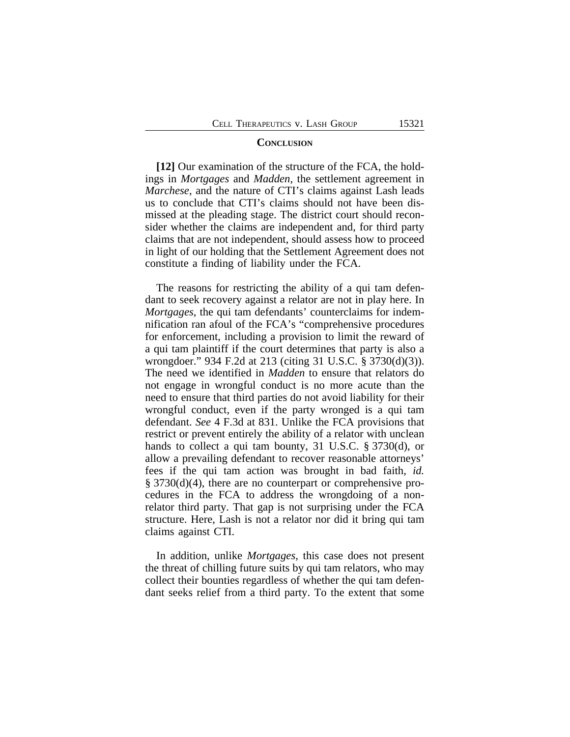### **CONCLUSION**

**[12]** Our examination of the structure of the FCA, the holdings in *Mortgages* and *Madden*, the settlement agreement in *Marchese*, and the nature of CTI's claims against Lash leads us to conclude that CTI's claims should not have been dismissed at the pleading stage. The district court should reconsider whether the claims are independent and, for third party claims that are not independent, should assess how to proceed in light of our holding that the Settlement Agreement does not constitute a finding of liability under the FCA.

The reasons for restricting the ability of a qui tam defendant to seek recovery against a relator are not in play here. In *Mortgages*, the qui tam defendants' counterclaims for indemnification ran afoul of the FCA's "comprehensive procedures for enforcement, including a provision to limit the reward of a qui tam plaintiff if the court determines that party is also a wrongdoer." 934 F.2d at 213 (citing 31 U.S.C. § 3730(d)(3)). The need we identified in *Madden* to ensure that relators do not engage in wrongful conduct is no more acute than the need to ensure that third parties do not avoid liability for their wrongful conduct, even if the party wronged is a qui tam defendant. *See* 4 F.3d at 831. Unlike the FCA provisions that restrict or prevent entirely the ability of a relator with unclean hands to collect a qui tam bounty, 31 U.S.C. § 3730(d), or allow a prevailing defendant to recover reasonable attorneys' fees if the qui tam action was brought in bad faith, *id.* § 3730(d)(4), there are no counterpart or comprehensive procedures in the FCA to address the wrongdoing of a nonrelator third party. That gap is not surprising under the FCA structure. Here, Lash is not a relator nor did it bring qui tam claims against CTI.

In addition, unlike *Mortgages*, this case does not present the threat of chilling future suits by qui tam relators, who may collect their bounties regardless of whether the qui tam defendant seeks relief from a third party. To the extent that some